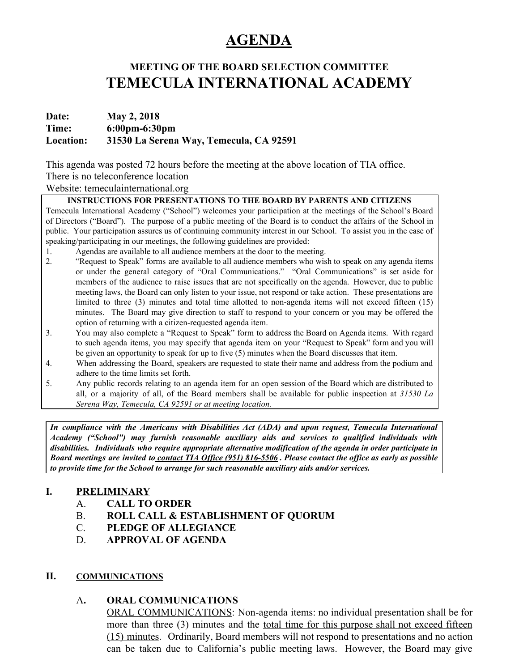# **AGENDA**

## **MEETING OF THE BOARD SELECTION COMMITTEE TEMECULA INTERNATIONAL ACADEMY**

## **Date: May 2, 2018 Time: 6:00pm-6:30pm Location: 31530 La Serena Way, Temecula, CA 92591**

This agenda was posted 72 hours before the meeting at the above location of TIA office.

## There is no teleconference location

#### Website: temeculainternational.org

#### **INSTRUCTIONS FOR PRESENTATIONS TO THE BOARD BY PARENTS AND CITIZENS**

Temecula International Academy ("School") welcomes your participation at the meetings of the School's Board of Directors ("Board"). The purpose of a public meeting of the Board is to conduct the affairs of the School in public. Your participation assures us of continuing community interest in our School. To assist you in the ease of speaking/participating in our meetings, the following guidelines are provided:

- 1. Agendas are available to all audience members at the door to the meeting.
- 2. "Request to Speak" forms are available to all audience members who wish to speak on any agenda items or under the general category of "Oral Communications." "Oral Communications" is set aside for members of the audience to raise issues that are not specifically on the agenda. However, due to public meeting laws, the Board can only listen to your issue, not respond or take action. These presentations are limited to three (3) minutes and total time allotted to non-agenda items will not exceed fifteen (15) minutes. The Board may give direction to staff to respond to your concern or you may be offered the option of returning with a citizen-requested agenda item.
- 3. You may also complete a "Request to Speak" form to address the Board on Agenda items. With regard to such agenda items, you may specify that agenda item on your "Request to Speak" form and you will be given an opportunity to speak for up to five (5) minutes when the Board discusses that item.
- 4. When addressing the Board, speakers are requested to state their name and address from the podium and adhere to the time limits set forth.
- 5. Any public records relating to an agenda item for an open session of the Board which are distributed to all, or a majority of all, of the Board members shall be available for public inspection at *31530 La Serena Way, Temecula, CA 92591 or at meeting location.*

*In compliance with the Americans with Disabilities Act (ADA) and upon request, Temecula International Academy ("School") may furnish reasonable auxiliary aids and services to qualified individuals with disabilities. Individuals who require appropriate alternative modification of the agenda in order participate in* Board meetings are invited to contact TIA Office (951) 816-5506. Please contact the office as early as possible *to provide time for the School to arrange for such reasonable auxiliary aids and/or services.*

#### **I. PRELIMINARY**

- A. **CALL TO ORDER**
- B. **ROLL CALL & ESTABLISHMENT OF QUORUM**
- C. **PLEDGE OF ALLEGIANCE**
- D. **APPROVAL OF AGENDA**

#### **II. COMMUNICATIONS**

#### A**. ORAL COMMUNICATIONS**

ORAL COMMUNICATIONS: Non-agenda items: no individual presentation shall be for more than three (3) minutes and the <u>total time for this purpose shall not exceed fifteen</u> (15) minutes. Ordinarily, Board members will not respond to presentations and no action can be taken due to California's public meeting laws. However, the Board may give